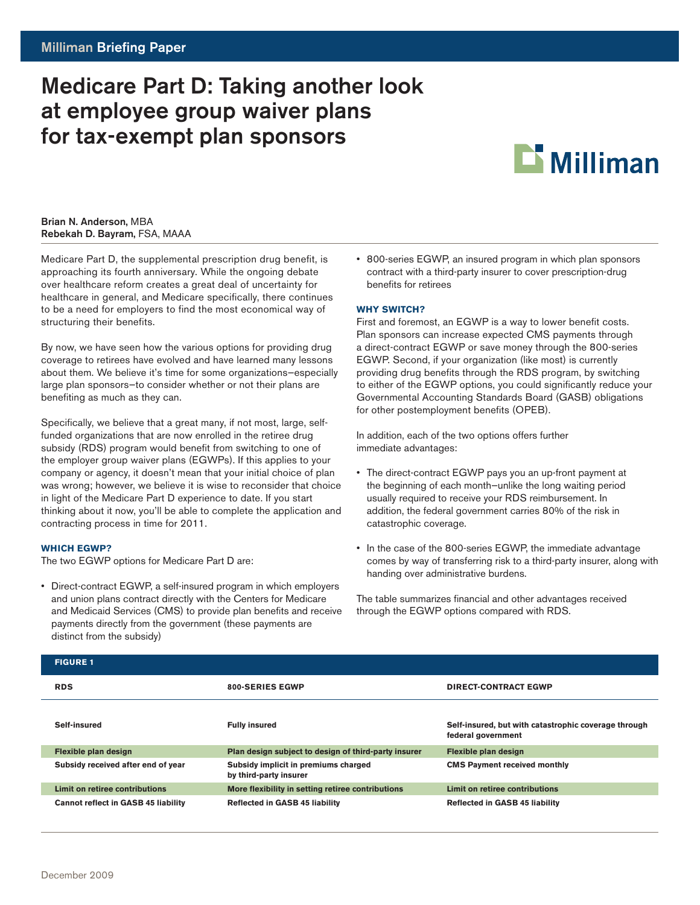# Medicare Part D: Taking another look at employee group waiver plans for tax-exempt plan sponsors



### Brian N. Anderson, MBA Rebekah D. Bayram, FSA, MAAA

Medicare Part D, the supplemental prescription drug benefit, is approaching its fourth anniversary. While the ongoing debate over healthcare reform creates a great deal of uncertainty for healthcare in general, and Medicare specifically, there continues to be a need for employers to find the most economical way of structuring their benefits.

By now, we have seen how the various options for providing drug coverage to retirees have evolved and have learned many lessons about them. We believe it's time for some organizations—especially large plan sponsors—to consider whether or not their plans are benefiting as much as they can.

Specifically, we believe that a great many, if not most, large, selffunded organizations that are now enrolled in the retiree drug subsidy (RDS) program would benefit from switching to one of the employer group waiver plans (EGWPs). If this applies to your company or agency, it doesn't mean that your initial choice of plan was wrong; however, we believe it is wise to reconsider that choice in light of the Medicare Part D experience to date. If you start thinking about it now, you'll be able to complete the application and contracting process in time for 2011.

## **Which EGWP?**

The two EGWP options for Medicare Part D are:

• Direct-contract EGWP, a self-insured program in which employers and union plans contract directly with the Centers for Medicare and Medicaid Services (CMS) to provide plan benefits and receive payments directly from the government (these payments are distinct from the subsidy)

• 800-series EGWP, an insured program in which plan sponsors contract with a third-party insurer to cover prescription-drug benefits for retirees

# **Why switch?**

First and foremost, an EGWP is a way to lower benefit costs. Plan sponsors can increase expected CMS payments through a direct-contract EGWP or save money through the 800-series EGWP. Second, if your organization (like most) is currently providing drug benefits through the RDS program, by switching to either of the EGWP options, you could significantly reduce your Governmental Accounting Standards Board (GASB) obligations for other postemployment benefits (OPEB).

In addition, each of the two options offers further immediate advantages:

- The direct-contract EGWP pays you an up-front payment at the beginning of each month—unlike the long waiting period usually required to receive your RDS reimbursement. In addition, the federal government carries 80% of the risk in catastrophic coverage.
- In the case of the 800-series EGWP, the immediate advantage comes by way of transferring risk to a third-party insurer, along with handing over administrative burdens.

The table summarizes financial and other advantages received through the EGWP options compared with RDS.

| <b>FIGURE 1</b>                            |                                                                |                                                                            |
|--------------------------------------------|----------------------------------------------------------------|----------------------------------------------------------------------------|
| <b>RDS</b>                                 | 800-SERIES EGWP                                                | <b>DIRECT-CONTRACT EGWP</b>                                                |
| Self-insured                               | <b>Fully insured</b>                                           | Self-insured, but with catastrophic coverage through<br>federal government |
| Flexible plan design                       | Plan design subject to design of third-party insurer           | Flexible plan design                                                       |
| Subsidy received after end of year         | Subsidy implicit in premiums charged<br>by third-party insurer | <b>CMS Payment received monthly</b>                                        |
| Limit on retiree contributions             | More flexibility in setting retiree contributions              | Limit on retiree contributions                                             |
| <b>Cannot reflect in GASB 45 liability</b> | <b>Reflected in GASB 45 liability</b>                          | <b>Reflected in GASB 45 liability</b>                                      |